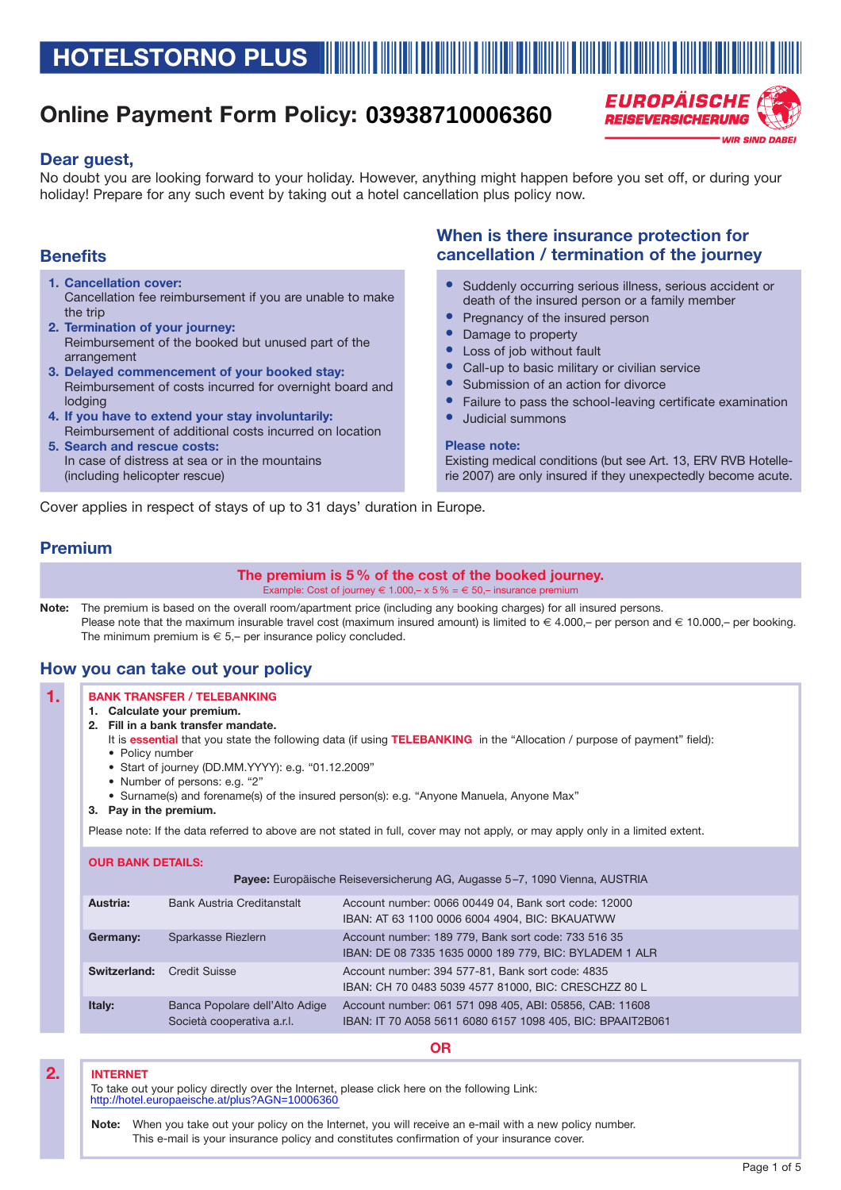# **Online Payment Form Policy: 03938710006360**



### **Dear guest,**

No doubt you are looking forward to your holiday. However, anything might happen before you set off, or during your holiday! Prepare for any such event by taking out a hotel cancellation plus policy now.

### **Benefits**

- **1. Cancellation cover:** Cancellation fee reimbursement if you are unable to make the trip
- **2. Termination of your journey:** Reimbursement of the booked but unused part of the arrangement
- **3. Delayed commencement of your booked stay:** Reimbursement of costs incurred for overnight board and lodging
- **4. If you have to extend your stay involuntarily:** Reimbursement of additional costs incurred on location **5. Search and rescue costs:**
- In case of distress at sea or in the mountains (including helicopter rescue)

### **When is there insurance protection for cancellation / termination of the journey**

- Suddenly occurring serious illness, serious accident or death of the insured person or a family member
- Pregnancy of the insured person
- Damage to property
- Loss of job without fault
- Call-up to basic military or civilian service
- Submission of an action for divorce
- Failure to pass the school-leaving certificate examination
- Judicial summons

#### **Please note:**

Existing medical conditions (but see Art. 13, ERV RVB Hotellerie 2007) are only insured if they unexpectedly become acute.

Cover applies in respect of stays of up to 31 days' duration in Europe.

### **Premium**

**The premium is 5 % of the cost of the booked journey.**

Example: Cost of journey  $\in 1.000, -x 5\% = \in 50, -$  insurance premium

**Note:** The premium is based on the overall room/apartment price (including any booking charges) for all insured persons. Please note that the maximum insurable travel cost (maximum insured amount) is limited to € 4.000,- per person and € 10.000,- per booking. The minimum premium is  $\epsilon$  5,– per insurance policy concluded.

### **How you can take out your policy**

#### **BANK TRANSFER / TELEBANKING 1.**

- **1. Calculate your premium.**
- **2. Fill in a bank transfer mandate.**
	- It is **essential** that you state the following data (if using **TELEBANKING** in the "Allocation / purpose of payment" field): • Policy number
	- Start of journey (DD.MM.YYYY): e.g. "01.12.2009"
	- Number of persons: e.g. "2"
	- Surname(s) and forename(s) of the insured person(s): e.g. "Anyone Manuela, Anyone Max"
- **3. Pay in the premium.**

Please note: If the data referred to above are not stated in full, cover may not apply, or may apply only in a limited extent.

| <b>Payee:</b> Europäische Reiseversicherung AG, Augasse 5–7, 1090 Vienna, AUSTRIA |                                                              |                                                                                                                       |
|-----------------------------------------------------------------------------------|--------------------------------------------------------------|-----------------------------------------------------------------------------------------------------------------------|
| Austria:                                                                          | <b>Bank Austria Creditanstalt</b>                            | Account number: 0066 00449 04, Bank sort code: 12000<br>IBAN: AT 63 1100 0006 6004 4904, BIC: BKAUATWW                |
| Germany:                                                                          | Sparkasse Riezlern                                           | Account number: 189 779, Bank sort code: 733 516 35<br>IBAN: DE 08 7335 1635 0000 189 779, BIC: BYLADEM 1 ALR         |
| Switzerland:                                                                      | Credit Suisse                                                | Account number: 394 577-81, Bank sort code: 4835<br>IBAN: CH 70 0483 5039 4577 81000, BIC: CRESCHZZ 80 L              |
| Italy:                                                                            | Banca Popolare dell'Alto Adige<br>Società cooperativa a.r.l. | Account number: 061 571 098 405, ABI: 05856, CAB: 11608<br>IBAN: IT 70 A058 5611 6080 6157 1098 405, BIC: BPAAIT2B061 |

#### **OR**

#### **INTERNET**

**2.**

To take out your policy directly over the Internet, please click here on the following Link: http://hotel.europaeische.at/plus?AGN=10006360

**Note:** When you take out your policy on the Internet, you will receive an e-mail with a new policy number. This e-mail is your insurance policy and constitutes confirmation of your insurance cover.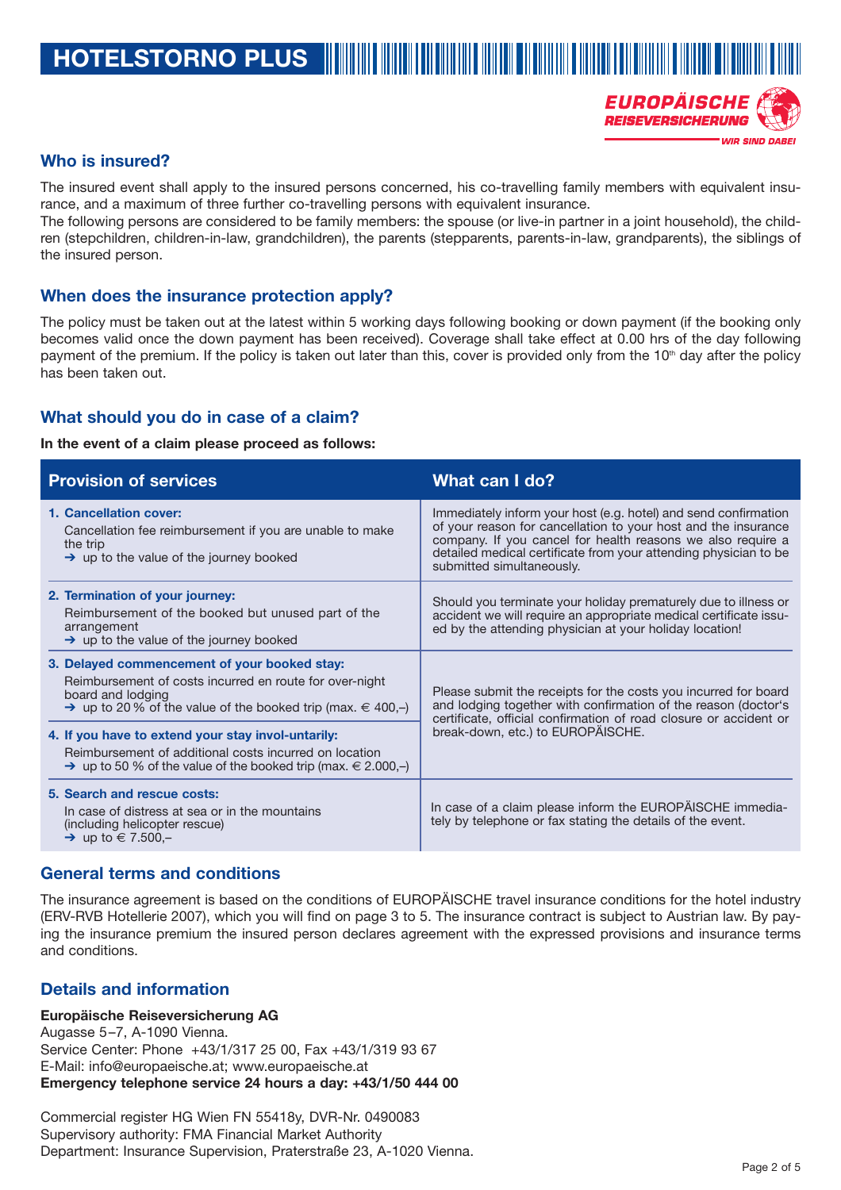**HOTELSTORNO PLUS**

### EUROPÄISCHE **REISEVERSICHERUNG WID SIND DARE**

### **Who is insured?**

The insured event shall apply to the insured persons concerned, his co-travelling family members with equivalent insurance, and a maximum of three further co-travelling persons with equivalent insurance.

The following persons are considered to be family members: the spouse (or live-in partner in a joint household), the children (stepchildren, children-in-law, grandchildren), the parents (stepparents, parents-in-law, grandparents), the siblings of the insured person.

### **When does the insurance protection apply?**

The policy must be taken out at the latest within 5 working days following booking or down payment (if the booking only becomes valid once the down payment has been received). Coverage shall take effect at 0.00 hrs of the day following payment of the premium. If the policy is taken out later than this, cover is provided only from the  $10<sup>th</sup>$  day after the policy has been taken out.

### **What should you do in case of a claim?**

### **In the event of a claim please proceed as follows:**

| <b>Provision of services</b>                                                                                                                                                                                | What can I do?                                                                                                                                                                                                                                                                                    |
|-------------------------------------------------------------------------------------------------------------------------------------------------------------------------------------------------------------|---------------------------------------------------------------------------------------------------------------------------------------------------------------------------------------------------------------------------------------------------------------------------------------------------|
| 1. Cancellation cover:<br>Cancellation fee reimbursement if you are unable to make<br>the trip<br>$\rightarrow$ up to the value of the journey booked                                                       | Immediately inform your host (e.g. hotel) and send confirmation<br>of your reason for cancellation to your host and the insurance<br>company. If you cancel for health reasons we also require a<br>detailed medical certificate from your attending physician to be<br>submitted simultaneously. |
| 2. Termination of your journey:<br>Reimbursement of the booked but unused part of the<br>arrangement<br>$\rightarrow$ up to the value of the journey booked                                                 | Should you terminate your holiday prematurely due to illness or<br>accident we will require an appropriate medical certificate issu-<br>ed by the attending physician at your holiday location!                                                                                                   |
| 3. Delayed commencement of your booked stay:<br>Reimbursement of costs incurred en route for over-night<br>board and lodging<br>$\rightarrow$ up to 20 % of the value of the booked trip (max. $\in$ 400,-) | Please submit the receipts for the costs you incurred for board<br>and lodging together with confirmation of the reason (doctor's<br>certificate, official confirmation of road closure or accident or<br>break-down, etc.) to EUROPAISCHE.                                                       |
| 4. If you have to extend your stay invol-untarily:<br>Reimbursement of additional costs incurred on location<br>$\rightarrow$ up to 50 % of the value of the booked trip (max. $\in$ 2.000,-)               |                                                                                                                                                                                                                                                                                                   |
| 5. Search and rescue costs:<br>In case of distress at sea or in the mountains<br>(including helicopter rescue)<br>$\rightarrow$ up to $\in$ 7.500,-                                                         | In case of a claim please inform the EUROPÄISCHE immedia-<br>tely by telephone or fax stating the details of the event.                                                                                                                                                                           |

### **General terms and conditions**

The insurance agreement is based on the conditions of EUROPÄISCHE travel insurance conditions for the hotel industry (ERV-RVB Hotellerie 2007), which you will find on page 3 to 5. The insurance contract is subject to Austrian law. By paying the insurance premium the insured person declares agreement with the expressed provisions and insurance terms and conditions.

### **Details and information**

### **Europäische Reiseversicherung AG**

Augasse 5–7, A-1090 Vienna. Service Center: Phone +43/1/317 25 00, Fax +43/1/319 93 67 E-Mail: info@europaeische.at; www.europaeische.at **Emergency telephone service 24 hours a day: +43/1/50 444 00**

Commercial register HG Wien FN 55418y, DVR-Nr. 0490083 Supervisory authority: FMA Financial Market Authority Department: Insurance Supervision, Praterstraße 23, A-1020 Vienna.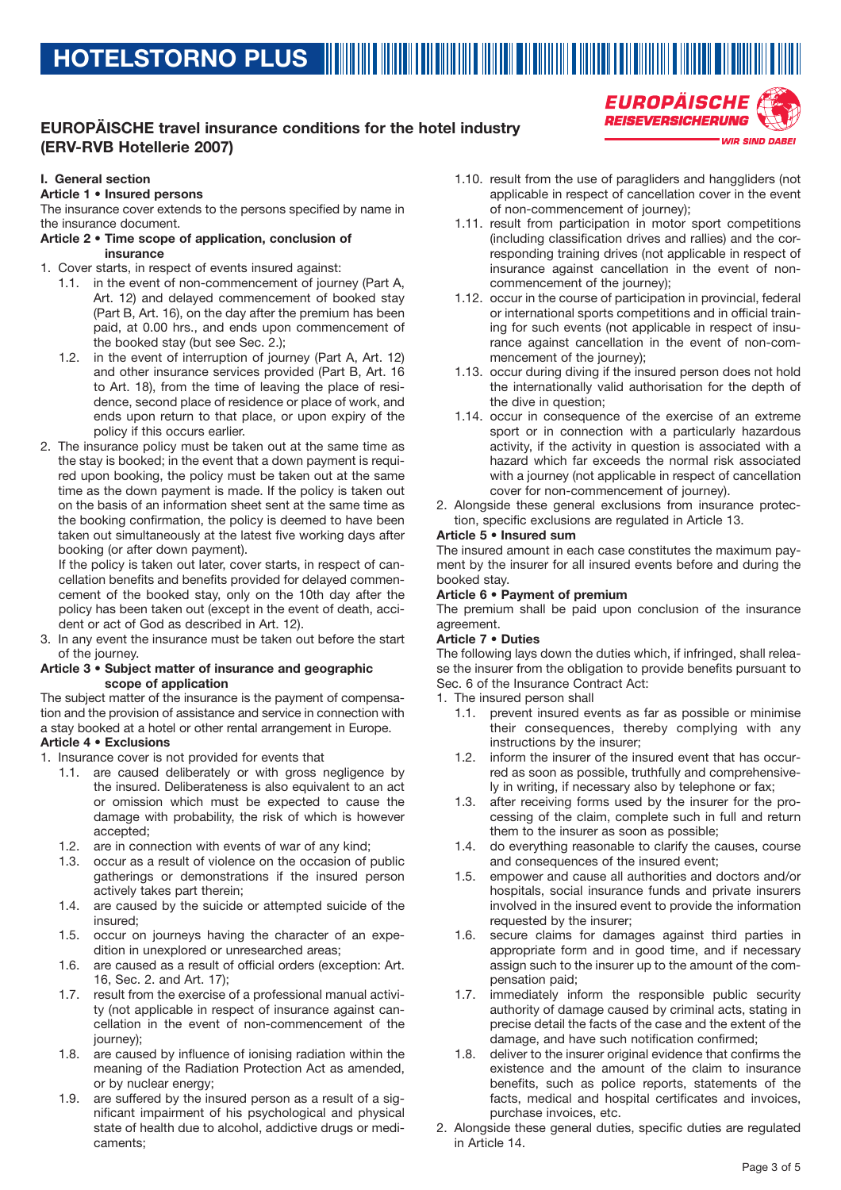## **EUROPÄISCHE travel insurance conditions for the hotel industry (ERV-RVB Hotellerie 2007)**

### **I. General section**

**Article 1 • Insured persons**

The insurance cover extends to the persons specified by name in the insurance document.

#### **Article 2 • Time scope of application, conclusion of insurance**

- 1. Cover starts, in respect of events insured against:
	- 1.1. in the event of non-commencement of journey (Part A, Art. 12) and delayed commencement of booked stay (Part B, Art. 16), on the day after the premium has been paid, at 0.00 hrs., and ends upon commencement of the booked stay (but see Sec. 2.);
	- 1.2. in the event of interruption of journey (Part A, Art. 12) and other insurance services provided (Part B, Art. 16 to Art. 18), from the time of leaving the place of residence, second place of residence or place of work, and ends upon return to that place, or upon expiry of the policy if this occurs earlier.
- 2. The insurance policy must be taken out at the same time as the stay is booked; in the event that a down payment is required upon booking, the policy must be taken out at the same time as the down payment is made. If the policy is taken out on the basis of an information sheet sent at the same time as the booking confirmation, the policy is deemed to have been taken out simultaneously at the latest five working days after booking (or after down payment).

If the policy is taken out later, cover starts, in respect of cancellation benefits and benefits provided for delayed commencement of the booked stay, only on the 10th day after the policy has been taken out (except in the event of death, accident or act of God as described in Art. 12).

In any event the insurance must be taken out before the start of the journey.

#### **Article 3 • Subject matter of insurance and geographic scope of application**

The subject matter of the insurance is the payment of compensation and the provision of assistance and service in connection with a stay booked at a hotel or other rental arrangement in Europe. **Article 4 • Exclusions**

- 1. Insurance cover is not provided for events that
	- 1.1. are caused deliberately or with gross negligence by the insured. Deliberateness is also equivalent to an act or omission which must be expected to cause the damage with probability, the risk of which is however accepted;
	- 1.2. are in connection with events of war of any kind;
	- 1.3. occur as a result of violence on the occasion of public gatherings or demonstrations if the insured person actively takes part therein;
	- 1.4. are caused by the suicide or attempted suicide of the insured;
	- 1.5. occur on journeys having the character of an expedition in unexplored or unresearched areas;
	- 1.6. are caused as a result of official orders (exception: Art. 16, Sec. 2. and Art. 17);
	- 1.7. result from the exercise of a professional manual activity (not applicable in respect of insurance against cancellation in the event of non-commencement of the journey);
	- 1.8. are caused by influence of ionising radiation within the meaning of the Radiation Protection Act as amended, or by nuclear energy;
	- 1.9. are suffered by the insured person as a result of a significant impairment of his psychological and physical state of health due to alcohol, addictive drugs or medicaments;

1.10. result from the use of paragliders and hanggliders (not applicable in respect of cancellation cover in the event of non-commencement of journey);

EUROPÄISCHE **REISEVERSICHERUNG** 

**WIR SIND DABEI** 

- 1.11. result from participation in motor sport competitions (including classification drives and rallies) and the corresponding training drives (not applicable in respect of insurance against cancellation in the event of noncommencement of the journey);
- 1.12. occur in the course of participation in provincial, federal or international sports competitions and in official training for such events (not applicable in respect of insurance against cancellation in the event of non-commencement of the journey);
- 1.13. occur during diving if the insured person does not hold the internationally valid authorisation for the depth of the dive in question;
- 1.14. occur in consequence of the exercise of an extreme sport or in connection with a particularly hazardous activity, if the activity in question is associated with a hazard which far exceeds the normal risk associated with a journey (not applicable in respect of cancellation cover for non-commencement of journey).
- 2. Alongside these general exclusions from insurance protection, specific exclusions are regulated in Article 13.

### **Article 5 • Insured sum**

The insured amount in each case constitutes the maximum payment by the insurer for all insured events before and during the booked stay.

### **Article 6 • Payment of premium**

The premium shall be paid upon conclusion of the insurance agreement.

#### **Article 7 • Duties**

The following lays down the duties which, if infringed, shall release the insurer from the obligation to provide benefits pursuant to Sec. 6 of the Insurance Contract Act:

- 1. The insured person shall
	- 1.1. prevent insured events as far as possible or minimise their consequences, thereby complying with any instructions by the insurer;
	- 1.2. inform the insurer of the insured event that has occurred as soon as possible, truthfully and comprehensively in writing, if necessary also by telephone or fax;
	- 1.3. after receiving forms used by the insurer for the processing of the claim, complete such in full and return them to the insurer as soon as possible;
	- 1.4. do everything reasonable to clarify the causes, course and consequences of the insured event;
	- 1.5. empower and cause all authorities and doctors and/or hospitals, social insurance funds and private insurers involved in the insured event to provide the information requested by the insurer;
	- 1.6. secure claims for damages against third parties in appropriate form and in good time, and if necessary assign such to the insurer up to the amount of the compensation paid;
	- 1.7. immediately inform the responsible public security authority of damage caused by criminal acts, stating in precise detail the facts of the case and the extent of the damage, and have such notification confirmed;
	- 1.8. deliver to the insurer original evidence that confirms the existence and the amount of the claim to insurance benefits, such as police reports, statements of the facts, medical and hospital certificates and invoices, purchase invoices, etc.
- 2. Alongside these general duties, specific duties are regulated in Article 14.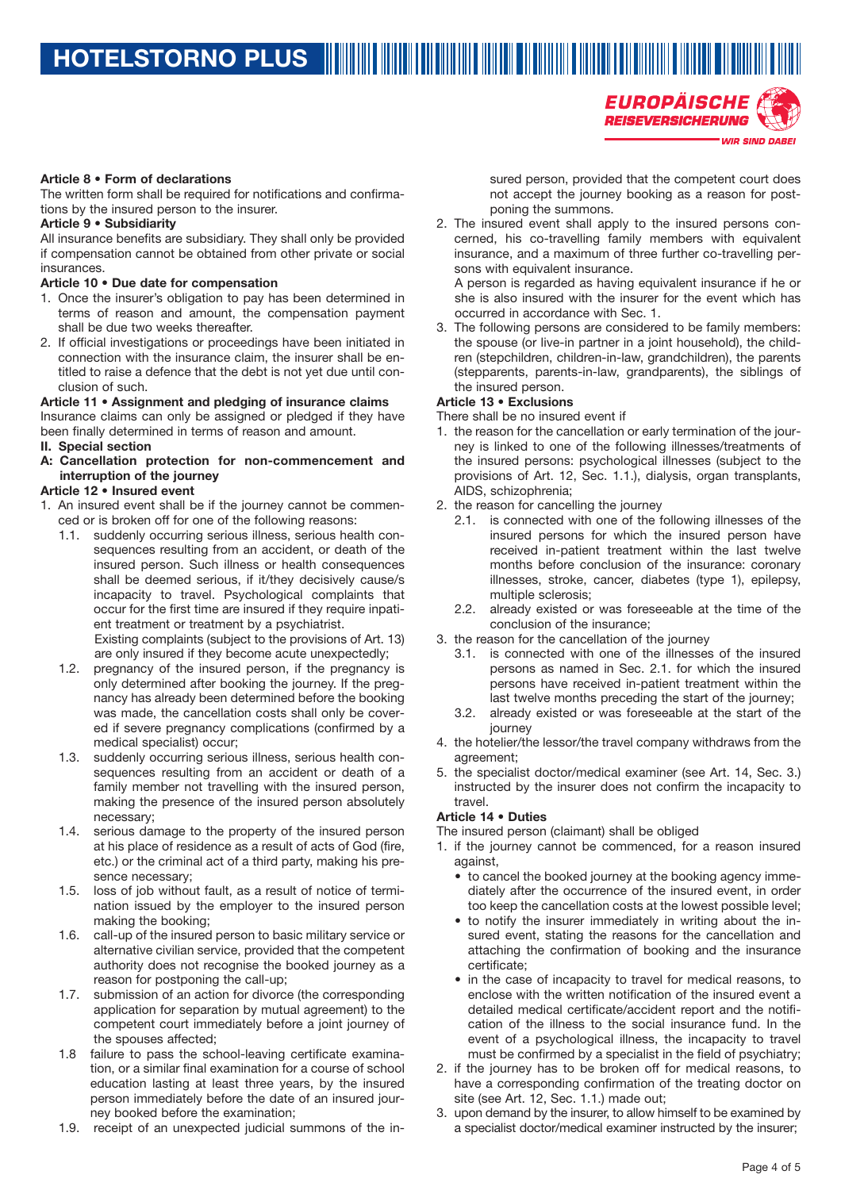**WIR SIND DABEI** 

### **Article 8 • Form of declarations**

The written form shall be required for notifications and confirmations by the insured person to the insurer.

### **Article 9 • Subsidiarity**

All insurance benefits are subsidiary. They shall only be provided if compensation cannot be obtained from other private or social insurances.

### **Article 10 • Due date for compensation**

- 1. Once the insurer's obligation to pay has been determined in terms of reason and amount, the compensation payment shall be due two weeks thereafter.
- 2. If official investigations or proceedings have been initiated in connection with the insurance claim, the insurer shall be entitled to raise a defence that the debt is not yet due until conclusion of such.

### **Article 11 • Assignment and pledging of insurance claims**

Insurance claims can only be assigned or pledged if they have been finally determined in terms of reason and amount.

### **II. Special section**

**A: Cancellation protection for non-commencement and interruption of the journey**

### **Article 12 • Insured event**

- 1. An insured event shall be if the journey cannot be commenced or is broken off for one of the following reasons:
	- 1.1. suddenly occurring serious illness, serious health consequences resulting from an accident, or death of the insured person. Such illness or health consequences shall be deemed serious, if it/they decisively cause/s incapacity to travel. Psychological complaints that occur for the first time are insured if they require inpatient treatment or treatment by a psychiatrist. Existing complaints (subject to the provisions of Art. 13)

are only insured if they become acute unexpectedly;

- 1.2. pregnancy of the insured person, if the pregnancy is only determined after booking the journey. If the pregnancy has already been determined before the booking was made, the cancellation costs shall only be covered if severe pregnancy complications (confirmed by a medical specialist) occur;
- 1.3. suddenly occurring serious illness, serious health consequences resulting from an accident or death of a family member not travelling with the insured person, making the presence of the insured person absolutely necessary;
- 1.4. serious damage to the property of the insured person at his place of residence as a result of acts of God (fire, etc.) or the criminal act of a third party, making his presence necessary;
- 1.5. loss of job without fault, as a result of notice of termination issued by the employer to the insured person making the booking;
- 1.6. call-up of the insured person to basic military service or alternative civilian service, provided that the competent authority does not recognise the booked journey as a reason for postponing the call-up;
- 1.7. submission of an action for divorce (the corresponding application for separation by mutual agreement) to the competent court immediately before a joint journey of the spouses affected;
- 1.8 failure to pass the school-leaving certificate examination, or a similar final examination for a course of school education lasting at least three years, by the insured person immediately before the date of an insured journey booked before the examination;
- 1.9. receipt of an unexpected judicial summons of the in-

sured person, provided that the competent court does not accept the journey booking as a reason for postponing the summons.

EUROPÄISCHE **REISEVERSICHERUNG** 

2. The insured event shall apply to the insured persons concerned, his co-travelling family members with equivalent insurance, and a maximum of three further co-travelling persons with equivalent insurance.

A person is regarded as having equivalent insurance if he or she is also insured with the insurer for the event which has occurred in accordance with Sec. 1.

3. The following persons are considered to be family members: the spouse (or live-in partner in a joint household), the children (stepchildren, children-in-law, grandchildren), the parents (stepparents, parents-in-law, grandparents), the siblings of the insured person.

### **Article 13 • Exclusions**

There shall be no insured event if

- 1. the reason for the cancellation or early termination of the journey is linked to one of the following illnesses/treatments of the insured persons: psychological illnesses (subject to the provisions of Art. 12, Sec. 1.1.), dialysis, organ transplants, AIDS, schizophrenia;
- 2. the reason for cancelling the journey
	- 2.1. is connected with one of the following illnesses of the insured persons for which the insured person have received in-patient treatment within the last twelve months before conclusion of the insurance: coronary illnesses, stroke, cancer, diabetes (type 1), epilepsy, multiple sclerosis;
	- 2.2. already existed or was foreseeable at the time of the conclusion of the insurance;
- 3. the reason for the cancellation of the journey
	- 3.1. is connected with one of the illnesses of the insured persons as named in Sec. 2.1. for which the insured persons have received in-patient treatment within the last twelve months preceding the start of the journey;
	- 3.2. already existed or was foreseeable at the start of the journey
- 4. the hotelier/the lessor/the travel company withdraws from the agreement;
- 5. the specialist doctor/medical examiner (see Art. 14, Sec. 3.) instructed by the insurer does not confirm the incapacity to travel.

### **Article 14 • Duties**

The insured person (claimant) shall be obliged

- 1. if the journey cannot be commenced, for a reason insured against,
	- to cancel the booked journey at the booking agency immediately after the occurrence of the insured event, in order too keep the cancellation costs at the lowest possible level;
	- to notify the insurer immediately in writing about the insured event, stating the reasons for the cancellation and attaching the confirmation of booking and the insurance certificate;
	- in the case of incapacity to travel for medical reasons, to enclose with the written notification of the insured event a detailed medical certificate/accident report and the notification of the illness to the social insurance fund. In the event of a psychological illness, the incapacity to travel must be confirmed by a specialist in the field of psychiatry;
- 2. if the journey has to be broken off for medical reasons, to have a corresponding confirmation of the treating doctor on site (see Art. 12, Sec. 1.1.) made out;
- 3. upon demand by the insurer, to allow himself to be examined by a specialist doctor/medical examiner instructed by the insurer;